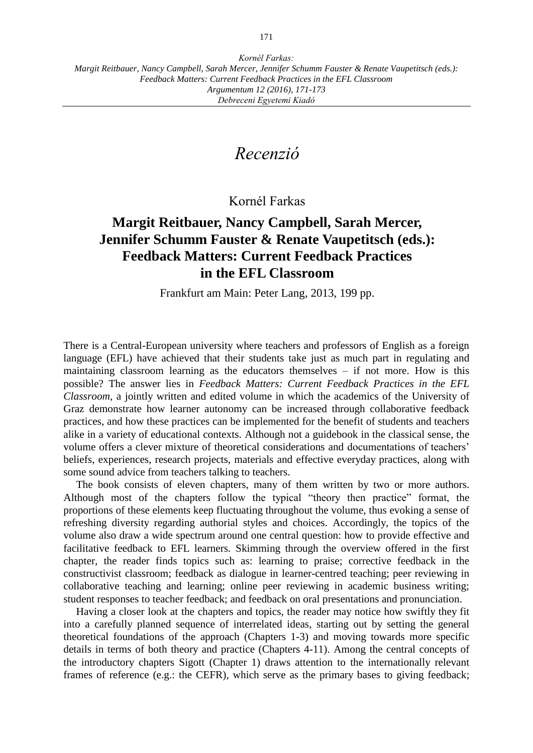## *Recenzió*

Kornél Farkas

## **Margit Reitbauer, Nancy Campbell, Sarah Mercer, Jennifer Schumm Fauster & Renate Vaupetitsch (eds.): Feedback Matters: Current Feedback Practices in the EFL Classroom**

Frankfurt am Main: Peter Lang, 2013, 199 pp.

There is a Central-European university where teachers and professors of English as a foreign language (EFL) have achieved that their students take just as much part in regulating and maintaining classroom learning as the educators themselves – if not more. How is this possible? The answer lies in *Feedback Matters: Current Feedback Practices in the EFL Classroom*, a jointly written and edited volume in which the academics of the University of Graz demonstrate how learner autonomy can be increased through collaborative feedback practices, and how these practices can be implemented for the benefit of students and teachers alike in a variety of educational contexts. Although not a guidebook in the classical sense, the volume offers a clever mixture of theoretical considerations and documentations of teachers' beliefs, experiences, research projects, materials and effective everyday practices, along with some sound advice from teachers talking to teachers.

The book consists of eleven chapters, many of them written by two or more authors. Although most of the chapters follow the typical "theory then practice" format, the proportions of these elements keep fluctuating throughout the volume, thus evoking a sense of refreshing diversity regarding authorial styles and choices. Accordingly, the topics of the volume also draw a wide spectrum around one central question: how to provide effective and facilitative feedback to EFL learners. Skimming through the overview offered in the first chapter, the reader finds topics such as: learning to praise; corrective feedback in the constructivist classroom; feedback as dialogue in learner-centred teaching; peer reviewing in collaborative teaching and learning; online peer reviewing in academic business writing; student responses to teacher feedback; and feedback on oral presentations and pronunciation.

Having a closer look at the chapters and topics, the reader may notice how swiftly they fit into a carefully planned sequence of interrelated ideas, starting out by setting the general theoretical foundations of the approach (Chapters 1-3) and moving towards more specific details in terms of both theory and practice (Chapters 4-11). Among the central concepts of the introductory chapters Sigott (Chapter 1) draws attention to the internationally relevant frames of reference (e.g.: the CEFR), which serve as the primary bases to giving feedback;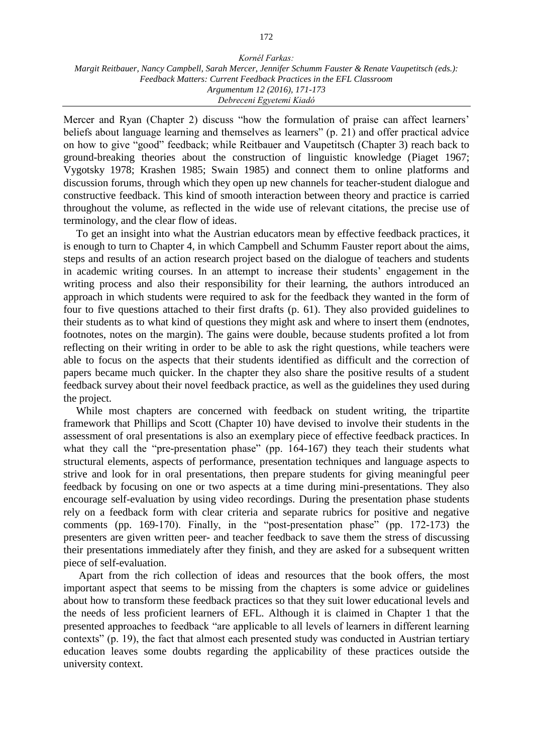Mercer and Ryan (Chapter 2) discuss "how the formulation of praise can affect learners' beliefs about language learning and themselves as learners" (p. 21) and offer practical advice on how to give "good" feedback; while Reitbauer and Vaupetitsch (Chapter 3) reach back to ground-breaking theories about the construction of linguistic knowledge (Piaget 1967; Vygotsky 1978; Krashen 1985; Swain 1985) and connect them to online platforms and discussion forums, through which they open up new channels for teacher-student dialogue and constructive feedback. This kind of smooth interaction between theory and practice is carried throughout the volume, as reflected in the wide use of relevant citations, the precise use of terminology, and the clear flow of ideas.

To get an insight into what the Austrian educators mean by effective feedback practices, it is enough to turn to Chapter 4, in which Campbell and Schumm Fauster report about the aims, steps and results of an action research project based on the dialogue of teachers and students in academic writing courses. In an attempt to increase their students' engagement in the writing process and also their responsibility for their learning, the authors introduced an approach in which students were required to ask for the feedback they wanted in the form of four to five questions attached to their first drafts (p. 61). They also provided guidelines to their students as to what kind of questions they might ask and where to insert them (endnotes, footnotes, notes on the margin). The gains were double, because students profited a lot from reflecting on their writing in order to be able to ask the right questions, while teachers were able to focus on the aspects that their students identified as difficult and the correction of papers became much quicker. In the chapter they also share the positive results of a student feedback survey about their novel feedback practice, as well as the guidelines they used during the project.

While most chapters are concerned with feedback on student writing, the tripartite framework that Phillips and Scott (Chapter 10) have devised to involve their students in the assessment of oral presentations is also an exemplary piece of effective feedback practices. In what they call the "pre-presentation phase" (pp. 164-167) they teach their students what structural elements, aspects of performance, presentation techniques and language aspects to strive and look for in oral presentations, then prepare students for giving meaningful peer feedback by focusing on one or two aspects at a time during mini-presentations. They also encourage self-evaluation by using video recordings. During the presentation phase students rely on a feedback form with clear criteria and separate rubrics for positive and negative comments (pp. 169-170). Finally, in the "post-presentation phase" (pp. 172-173) the presenters are given written peer- and teacher feedback to save them the stress of discussing their presentations immediately after they finish, and they are asked for a subsequent written piece of self-evaluation.

Apart from the rich collection of ideas and resources that the book offers, the most important aspect that seems to be missing from the chapters is some advice or guidelines about how to transform these feedback practices so that they suit lower educational levels and the needs of less proficient learners of EFL. Although it is claimed in Chapter 1 that the presented approaches to feedback "are applicable to all levels of learners in different learning contexts" (p. 19), the fact that almost each presented study was conducted in Austrian tertiary education leaves some doubts regarding the applicability of these practices outside the university context.